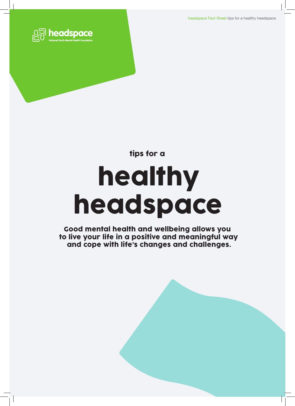headspace Fact Sheet tips for a healthy headspace





Good mental health and wellbeing allows you to live your life in a positive and meaningful way and cope with life's changes and challenges.